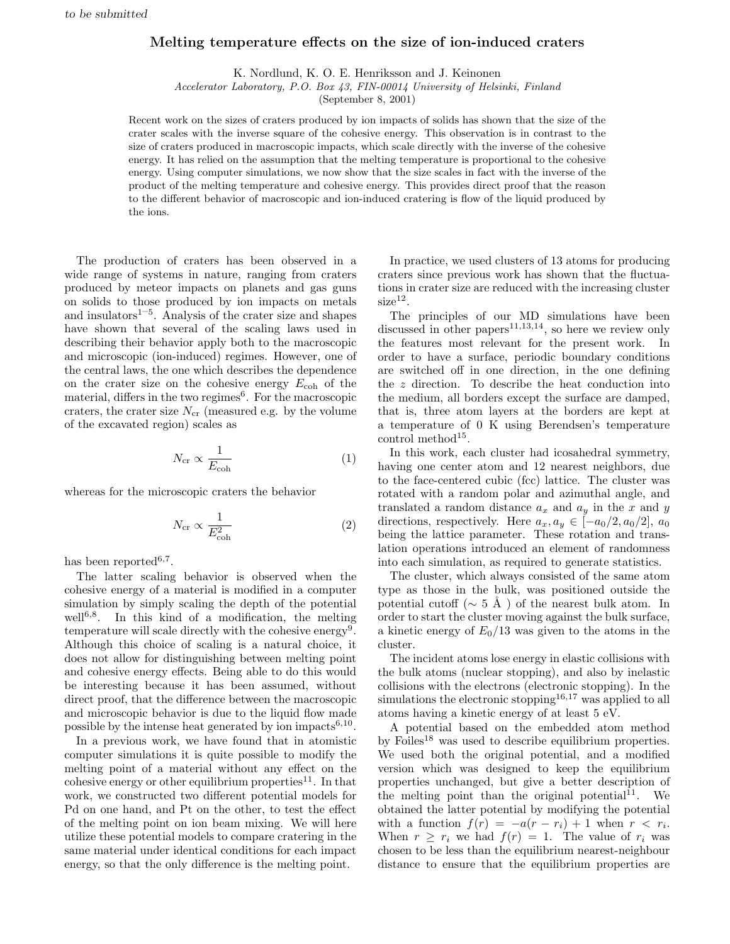## Melting temperature effects on the size of ion-induced craters

K. Nordlund, K. O. E. Henriksson and J. Keinonen

Accelerator Laboratory, P.O. Box 43, FIN-00014 University of Helsinki, Finland

(September 8, 2001)

Recent work on the sizes of craters produced by ion impacts of solids has shown that the size of the crater scales with the inverse square of the cohesive energy. This observation is in contrast to the size of craters produced in macroscopic impacts, which scale directly with the inverse of the cohesive energy. It has relied on the assumption that the melting temperature is proportional to the cohesive energy. Using computer simulations, we now show that the size scales in fact with the inverse of the product of the melting temperature and cohesive energy. This provides direct proof that the reason to the different behavior of macroscopic and ion-induced cratering is flow of the liquid produced by the ions.

The production of craters has been observed in a wide range of systems in nature, ranging from craters produced by meteor impacts on planets and gas guns on solids to those produced by ion impacts on metals and insulators $1-5$ . Analysis of the crater size and shapes have shown that several of the scaling laws used in describing their behavior apply both to the macroscopic and microscopic (ion-induced) regimes. However, one of the central laws, the one which describes the dependence on the crater size on the cohesive energy  $E_{\rm coh}$  of the material, differs in the two regimes<sup>6</sup>. For the macroscopic craters, the crater size  $N_{cr}$  (measured e.g. by the volume of the excavated region) scales as

$$
N_{\rm cr} \propto \frac{1}{E_{\rm coh}}\tag{1}
$$

whereas for the microscopic craters the behavior

$$
N_{\rm cr} \propto \frac{1}{E_{\rm coh}^2} \tag{2}
$$

has been reported<sup>6,7</sup>.

The latter scaling behavior is observed when the cohesive energy of a material is modified in a computer simulation by simply scaling the depth of the potential well<sup>6,8</sup>. In this kind of a modification, the melting temperature will scale directly with the cohesive energy<sup>9</sup>. Although this choice of scaling is a natural choice, it does not allow for distinguishing between melting point and cohesive energy effects. Being able to do this would be interesting because it has been assumed, without direct proof, that the difference between the macroscopic and microscopic behavior is due to the liquid flow made possible by the intense heat generated by ion impacts<sup>6,10</sup>.

In a previous work, we have found that in atomistic computer simulations it is quite possible to modify the melting point of a material without any effect on the cohesive energy or other equilibrium properties<sup>11</sup>. In that work, we constructed two different potential models for Pd on one hand, and Pt on the other, to test the effect of the melting point on ion beam mixing. We will here utilize these potential models to compare cratering in the same material under identical conditions for each impact energy, so that the only difference is the melting point.

In practice, we used clusters of 13 atoms for producing craters since previous work has shown that the fluctuations in crater size are reduced with the increasing cluster  $size<sup>12</sup>$ .

The principles of our MD simulations have been discussed in other papers<sup>11,13,14</sup>, so here we review only the features most relevant for the present work. In order to have a surface, periodic boundary conditions are switched off in one direction, in the one defining the z direction. To describe the heat conduction into the medium, all borders except the surface are damped, that is, three atom layers at the borders are kept at a temperature of 0 K using Berendsen's temperature control method<sup>15</sup>.

In this work, each cluster had icosahedral symmetry, having one center atom and 12 nearest neighbors, due to the face-centered cubic (fcc) lattice. The cluster was rotated with a random polar and azimuthal angle, and translated a random distance  $a_x$  and  $a_y$  in the x and y directions, respectively. Here  $a_x, a_y \in [-a_0/2, a_0/2], a_0$ being the lattice parameter. These rotation and translation operations introduced an element of randomness into each simulation, as required to generate statistics.

The cluster, which always consisted of the same atom type as those in the bulk, was positioned outside the potential cutoff ( $\sim 5 \text{ Å}$ ) of the nearest bulk atom. In order to start the cluster moving against the bulk surface, a kinetic energy of  $E_0/13$  was given to the atoms in the cluster.

The incident atoms lose energy in elastic collisions with the bulk atoms (nuclear stopping), and also by inelastic collisions with the electrons (electronic stopping). In the simulations the electronic stopping<sup>16,17</sup> was applied to all atoms having a kinetic energy of at least 5 eV.

A potential based on the embedded atom method by Foiles<sup>18</sup> was used to describe equilibrium properties. We used both the original potential, and a modified version which was designed to keep the equilibrium properties unchanged, but give a better description of the melting point than the original potential<sup>11</sup>. We obtained the latter potential by modifying the potential with a function  $f(r) = -a(r - r_i) + 1$  when  $r < r_i$ . When  $r \geq r_i$  we had  $f(r) = 1$ . The value of  $r_i$  was chosen to be less than the equilibrium nearest-neighbour distance to ensure that the equilibrium properties are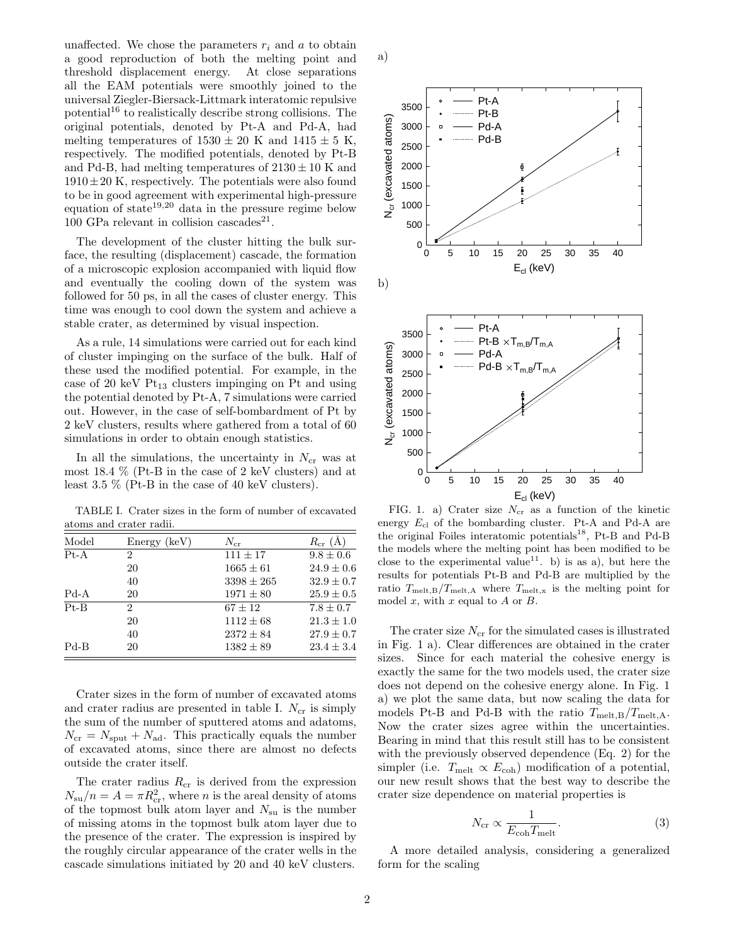unaffected. We chose the parameters  $r_i$  and a to obtain a good reproduction of both the melting point and threshold displacement energy. At close separations all the EAM potentials were smoothly joined to the universal Ziegler-Biersack-Littmark interatomic repulsive potential<sup>16</sup> to realistically describe strong collisions. The original potentials, denoted by Pt-A and Pd-A, had melting temperatures of  $1530 \pm 20$  K and  $1415 \pm 5$  K, respectively. The modified potentials, denoted by Pt-B and Pd-B, had melting temperatures of  $2130 \pm 10$  K and  $1910 \pm 20$  K, respectively. The potentials were also found to be in good agreement with experimental high-pressure equation of state<sup>19,20</sup> data in the pressure regime below 100 GPa relevant in collision cascades<sup>21</sup>.

The development of the cluster hitting the bulk surface, the resulting (displacement) cascade, the formation of a microscopic explosion accompanied with liquid flow and eventually the cooling down of the system was followed for 50 ps, in all the cases of cluster energy. This time was enough to cool down the system and achieve a stable crater, as determined by visual inspection.

As a rule, 14 simulations were carried out for each kind of cluster impinging on the surface of the bulk. Half of these used the modified potential. For example, in the case of 20 keV  $Pt_{13}$  clusters impinging on Pt and using the potential denoted by Pt-A, 7 simulations were carried out. However, in the case of self-bombardment of Pt by 2 keV clusters, results where gathered from a total of 60 simulations in order to obtain enough statistics.

In all the simulations, the uncertainty in  $N_{cr}$  was at most 18.4 % (Pt-B in the case of 2 keV clusters) and at least 3.5 % (Pt-B in the case of 40 keV clusters).

TABLE I. Crater sizes in the form of number of excavated atoms and crater radii.

| Model  | Energy (keV)   | $N_{\rm cr}$   | $R_{\rm cr}(\AA)$ |
|--------|----------------|----------------|-------------------|
| $Pt-A$ | $\overline{2}$ | $111 \pm 17$   | $9.8 \pm 0.6$     |
|        | 20             | $1665 \pm 61$  | $24.9 \pm 0.6$    |
|        | 40             | $3398 \pm 265$ | $32.9 \pm 0.7$    |
| $Pd-A$ | 20             | $1971 \pm 80$  | $25.9 \pm 0.5$    |
| $Pt-B$ | $\overline{2}$ | $67 \pm 12$    | $7.8 \pm 0.7$     |
|        | 20             | $1112 \pm 68$  | $21.3 \pm 1.0$    |
|        | 40             | $2372 \pm 84$  | $27.9 \pm 0.7$    |
| $Pd-B$ | 20             | $1382 \pm 89$  | $23.4 \pm 3.4$    |

Crater sizes in the form of number of excavated atoms and crater radius are presented in table I.  $N_{cr}$  is simply the sum of the number of sputtered atoms and adatoms,  $N_{\rm cr} = N_{\rm sput} + N_{\rm ad}$ . This practically equals the number of excavated atoms, since there are almost no defects outside the crater itself.

The crater radius  $R_{cr}$  is derived from the expression  $N_{\rm su}/n = A = \pi R_{\rm cr}^2$ , where *n* is the areal density of atoms of the topmost bulk atom layer and  $N_{\rm su}$  is the number of missing atoms in the topmost bulk atom layer due to the presence of the crater. The expression is inspired by the roughly circular appearance of the crater wells in the cascade simulations initiated by 20 and 40 keV clusters.



a)

FIG. 1. a) Crater size  $N_{cr}$  as a function of the kinetic energy Ecl of the bombarding cluster. Pt-A and Pd-A are the original Foiles interatomic potentials<sup>18</sup>, Pt-B and Pd-B the models where the melting point has been modified to be close to the experimental value<sup>11</sup>. b) is as a), but here the results for potentials Pt-B and Pd-B are multiplied by the ratio  $T_{\text{melt,B}}/T_{\text{melt,A}}$  where  $T_{\text{melt,x}}$  is the melting point for model  $x$ , with  $x$  equal to  $A$  or  $B$ .

The crater size  $N_{cr}$  for the simulated cases is illustrated in Fig. 1 a). Clear differences are obtained in the crater sizes. Since for each material the cohesive energy is exactly the same for the two models used, the crater size does not depend on the cohesive energy alone. In Fig. 1 a) we plot the same data, but now scaling the data for models Pt-B and Pd-B with the ratio  $T_{\text{melt},B}/T_{\text{melt},A}$ . Now the crater sizes agree within the uncertainties. Bearing in mind that this result still has to be consistent with the previously observed dependence (Eq. 2) for the simpler (i.e.  $T_{\text{melt}} \propto E_{\text{coh}}$ ) modification of a potential, our new result shows that the best way to describe the crater size dependence on material properties is

$$
N_{\rm cr} \propto \frac{1}{E_{\rm coh} T_{\rm melt}}.\tag{3}
$$

A more detailed analysis, considering a generalized form for the scaling